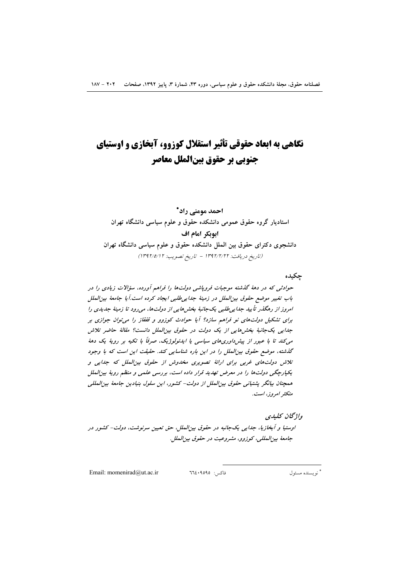# نگاهی به ابعاد حقوقی تأثیر استقلال کوزوو، آبخازی و اوستیای جنوبي بر حقوق بينالملل معاصر

احمد مومنے راد\* استادیار گروه حقوق عمومی دانشکده حقوق و علوم سیاسی دانشگاه تهران ابوبكر امام اف دانشجوی دکترای حقوق بین الملل دانشکده حقوق و علوم سیاسی دانشگاه تهران (تاريخ دريافت: ١٣٩٢/٢/٢٢ - تاريخ تصويب: ١٣٩٢/٥/١٢)

#### جكبده

حوادثی که در دههٔ گذشته موجبات فروپاشی دولتها را فراهم آورده، سؤالات زیادی را در باب تغییر موضع حقوق بین الملل در زمینهٔ جداییطلبی ایجاد کرده است.آیا جامعهٔ بین الملل امروز از رهگذر تأیید جدایی طلبی یک جانبهٔ بخش هایی از دولتها، می رود تا زمینهٔ جدیدی را برای تشکیل دولتهای نو فراهم سازد؟ آیا حوادث کوزوو و قفقاز را می توان جوازی بر جدایی یک جانبهٔ بخش هایی از یک دولت در حقوق بین الملل دانست؟ مقالهٔ حاضر تلاش می کند تا با عبور از پیش داوری های سیاسی یا ایدئولوژیک، صرفاً با تکیه بر رویهٔ یک دههٔ گذشته، موضع حقوق بین الملل را در این باره شناسایی کند. حقیقت این است که با وجود تلاش دولت های غربی برای ارائهٔ تصویری مخدوش از حقوق بین الملل که جدایی و یکپارچگی دولتها را در معرض تهدید قرار داده است، بررسی علمی و منظم رویهٔ بین الملل همچنان بیانگر پشتیانی حقوق بین الملل از دولت- کشور، این سلول بنیادین جامعهٔ بین المللی متكثر امروز، است.

#### واژىخان كىلىدى

اوستیا و آبخازیا، جدایی یکجانبه در حقوق بین الملل، حق تعیین سرنوشت، دولت- کشور در جامعة بين المللي، كوزوو، مشروعيت در حقوق بين الملل.

Email: momenirad@ut.ac.ir

 $772.9090$  : فاكس

\* نو يسنده مسئول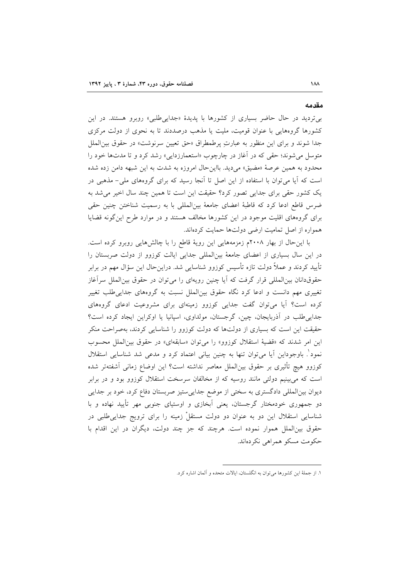بی تردید در حال حاضر بسیاری از کشورها با پدیدهٔ «جدایی طلبی» روبرو هستند. در این کشورها گروههایی با عنوان قومیت، ملیت یا مذهب درصددند تا به نحوی از دولت مرکزی جداً شوند و براى اين منظور به عبارتِ پرطمطراق «حق تعيين سرنوشت» در حقوق بين الملل متوسل می شوند؛ حقی که در آغاز در چارچوب «استعمارزدایی» رشد کرد و تا مدتها خود را محدود به همین عرصهٔ «مضیق» میدید. بااین حال امروزه به شدت به این شبهه دامن زده شده است که آیا میتوان با استفاده از این اصل تا آنجا رسید که برای گروههای ملی- مذهبی در یک کشور حقی برای جدایی تصور کرد؟ حقیقت این است تا همین چند سال اخیر می شد به ضرس قاطع ادعا كرد كه قاطبهٔ اعضاى جامعهٔ بینالمللی با به رسمیت شناختن چنین حقی برای گروههای اقلیت موجود در این کشورها مخالف هستند و در موارد طرح اینگونه قضایا همواره از اصل تمامیت ارضی دولتها حمایت کردهاند.

با این حال از بهار ۲۰۰۸م زمزمههایی این رویهٔ قاطع را با چالشهایی روبرو کرده است. در این سال بسیاری از اعضای جامعهٔ بینالمللی جدایی ایالت کوزوو از دولت صربستان را تأیید کردند و عملاً دولت تازه تأسیس کوزوو شناسایی شد. دراینحال این سؤال مهم در برابر حقوقدانان بین المللی قرار گرفت که آیا چنین رویهای را می توان در حقوق بین الملل سرآغاز تغییری مهم دانست و ادعا کرد نگاه حقوق بین(لملل نسبت به گروههای جدایی طلب تغییر کرده است؟ آیا می توان گفت جدایی کوزوو زمینهای برای مشروعیت ادعای گروههای جدایی طلب در آذربایجان، چین، گرجستان، مولداوی، اسپانیا یا اوکراین ایجاد کرده است؟ حقیقت این است که بسیاری از دولتها که دولت کوزوو را شناسایی کردند، بهصراحت منکر این امر شدند که «قضیهٔ استقلال کوزوو» را می توان «سابقهای» در حقوق بین الملل محسوب نمود ٰ. باوجوداین آیا می¤وان تنها به چنین بیانی اعتماد کرد و مدعی شد شناسایی استقلال كوزوو هيچ تأثيري بر حقوق بين|لملل معاصر نداشته است؟ اين اوضاع زماني آشفتهتر شده است که می بینیم دولتی مانند روسیه که از مخالفان سرسخت استقلال کوزوو بود و در برابر دیوان بینالمللی دادگستری به سختی از موضع جداییستیز صربستان دفاع کرد، خود بر جدایی دو جمهوری خودمختار گرجستان، یعنی آبخازی و اوستیای جنوبی مهر تأیید نهاده و با شناسایی استقلال این دو به عنوان دو دولت مستقلْ زمینه را برای ترویج جداییطلبی در حقوق بینالملل هموار نموده است. هرچند که جز چند دولت، دیگران در این اقدام با حکومت مسکو همراهی نکردهاند.

مقدمه

١. از جملهٔ این کشورها میتوان به انگلستان، ایالات متحده و آلمان اشاره کرد.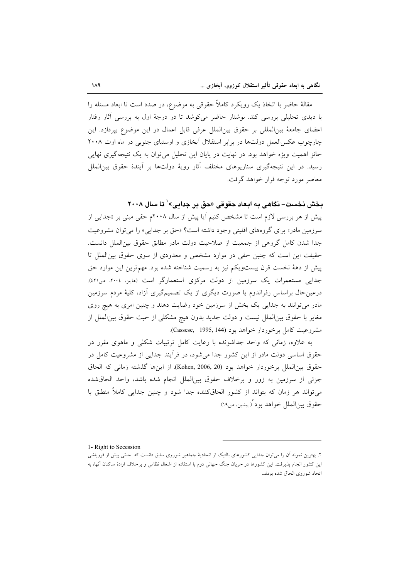مقالهٔ حاضر با اتخاذ یک رویکرد کاملاً حقوقی به موضوع، در صدد است تا ابعاد مسئله را با دیدی تحلیلی بررسی کند. نوشتار حاضر می کوشد تا در درجهٔ اول به بررسی آثار رفتار اعضای جامعهٔ بینالمللی بر حقوق بینالملل عرفی قابل اعمال در این موضوع بیردازد. این چارچوب عکس العمل دولتها در برابر استقلال آبخازی و اوستیای جنوبی در ماه اوت ۲۰۰۸ حائز اهمیت ویژه خواهد بود. در نهایت در پایان این تحلیل می توان به یک نتیجهگیری نهایی رسید. در این نتیجهگیری سناریوهای مختلف آثار رویهٔ دولتها بر آیندهٔ حقوق بین|لملل معاصر مورد توجه قرار خواهد گرفت.

### بخش نخست- نگاهی به ابعاد حقوقی «حق بر جدایی» ٰ تا سال ۲۰۰۸

پیش از هر بررسی لازم است تا مشخص کنیم آیا پیش از سال ۲۰۰۸م حقی مبنی بر «جدایی از سرزمین مادر» برای گروههای اقلیتی وجود داشته است؟ «حق بر جدایی» را می توان مشروعیت جدا شدن كامل گروهی از جمعیت از صلاحیت دولت مادر مطابق حقوق بین الملل دانست. حقیقت این است که چنین حقی در موارد مشخص و معدودی از سوی حقوق بین الملل تا پیش از دههٔ نخست قرن بیستویکم نیز به رسمیت شناخته شده بود. مهمترین این موارد حق جدایی مستعمرات یک سرزمین از دولت مرکزی استعمارگر است (هاینز، ۲۰۰۶، ص۲۱۱). درعین حال براساس رفراندوم یا صورت دیگری از یک تصمیمگیری آزاد، کلیهٔ مردم سرزمین مادر می توانند به جدایی یک بخش از سرزمین خود رضایت دهند و چنین امری به هیچ روی مغایر با حقوق بینالملل نیست و دولت جدید بدون هیچ مشکلی از حیث حقوق بینالملل از مشروعيت كامل برخوردار خواهد بود (Cassese, 1995, 144).

به علاوه، زمانی که واحد جداشونده با رعایت کامل ترتیبات شکلی و ماهوی مقرر در حقوق اساسی دولت مادر از این کشور جدا میشود، در فراًیند جدایی از مشروعیت کامل در حقوق بين|لملل برخوردار خواهد بود (Kohen, 2006, 20). از اينها گذشته زماني كه الحاق جزئي از سرزمين به زور و برخلاف حقوق بين|لملل انجام شده باشد، واحد الحاق شده می تواند هر زمان که بتواند از کشور الحاقکننده جدا شود و چنین جدایی کاملاً منطبق با حقوق بين|لملل خواهد بود<sup>٢</sup>رپيشين، ص١٩).

1- Right to Secession

۲. بهترین نمونه آن را می توان جدایی کشورهای بالتیک از اتحادیهٔ جماهیر شوروی سابق دانست که ًمدتی پیش از فروپاشی این کشور انجام پذیرفت. این کشورها در جریان جنگ جهانی دوم با استفاده از اشغال نظامی و برخلاف ارادهٔ ساکنان آنها، به اتحاد شوروى الحاق شده بودند.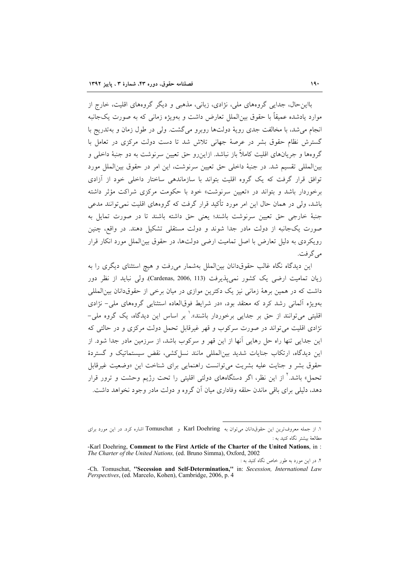بااین حال، جدایی گروههای ملی، نژادی، زبانی، مذهبی و دیگر گروههای اقلیت، خارج از موارد پادشده عميقاً با حقوق بين(لملل تعارض داشت و پهويژه زماني كه به صورت يك جانبه انجام می شد، با مخالفت جدی رویهٔ دولتها روبرو می گشت. ولی در طول زمان و بهتدریج با گسترش نظام حقوق بشر در عرصهٔ جهانی تلاش شد تا دست دولت مرکزی در تعامل با گروهها و جريانهاي اقليت كاملاً باز نباشد. ازاين٫رو حق تعيين سرنوشت به دو جنبهٔ داخلي و بين|لمللي تقسيم شد. در جنبهٔ داخلي حق تعيين سرنوشت، اين امر در حقوق بين|لملل مورد توافق قرار گرفت که یک گروه اقلیت بتواند با سازماندهی ساختار داخلی خود از آزادی برخوردار باشد و بتواند در «تعیین سرنوشت» خود با حکومت مرکزی شراکت مؤثر داشته باشد، ولی در همان حال این امر مورد تأکید قرار گرفت که گروههای اقلیت نمی توانند مدعی جنبهٔ خارجی حق تعیین سرنوشت باشند؛ یعنی حق داشته باشند تا در صورت تمایل به صورت یکجانبه از دولت مادر جدا شوند و دولت مستقلی تشکیل دهند. در واقع، چنین رویکردی به دلیل تعارض با اصل تمامیت ارضی دولتها، در حقوق بینالملل مورد انکار قرار مي گر فت.

این دیدگاه نگاه غالب حقوقدانان بینالملل بهشمار میرفت و هیچ استثنای دیگری را به زيان تماميت ارضى يک کشور نمى پذيرفت (Cardenas, 2006, 113)، ولى نبايد از نظر دور داشت که در همین برههٔ زمانی نیز یک دکترین موازی در میان برخی از حقوقدانان بینالمللی بهویژه آلمانی رشد کرد که معتقد بود، «در شرایط فوقالعاده استثنایی گروههای ملی- نژادی اقلیتی میتوانند از حق بر جدایی برخوردار باشند».<sup>۱</sup> بر اساس این دیدگاه، یک گروه ملی-.<br>نژادی اقلیت می تواند در صورت سرکوب و قهر غیرقابل تحمل دولت مرکزی و در حالتی که این جدایی تنها راه حل رهایی آنها از این قهر و سرکوب باشد، از سرزمین مادر جدا شود. از این دیدگاه، ارتکاب جنایات شدید بینالمللی مانند نسل کشی، نقض سیستماتیک و گستردهٔ حقوق بشر و جنايت عليه بشريت مي توانست راهنمايي براي شناخت اين «وضعيت غيرقابل تحمل» باشد.<sup>۲</sup> از این نظر، اگر دستگاههای دولتی اقلیتی را تحت رژیم وحشت و ترور قرار دهد، دلیلی برای باقی ماندن حلقه وفاداری میان آن گروه و دولت مادر وجود نخواهد داشت.

١. از جمله معروف ترين اين حقوق دانان مي توان به Karl Doehring و Tomuschat اشاره كرد. در اين مورد براى مطالعهٔ بیشتر نگاه کنید به :

<sup>-</sup>Karl Doehring, Comment to the First Article of the Charter of the United Nations, in: The Charter of the United Nations, (ed. Bruno Simma), Oxford, 2002

۲. در این مورد به طور خاص نگاه کنید به :

<sup>-</sup>Ch. Tomuschat, "Secession and Self-Determination," in: Secession, International Law Perspectives, (ed. Marcelo, Kohen), Cambridge, 2006, p. 4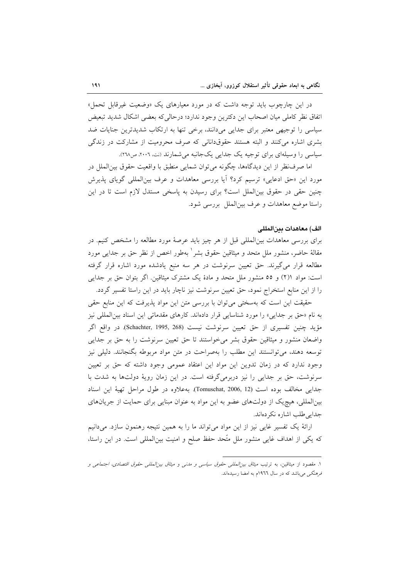در این چارچوب باید توجه داشت که در مورد معیارهای یک «وضعیت غیرقابل تحمل» اتفاق نظر كاملي ميان اصحاب اين دكترين وجود ندارد؛ درحالي كه بعضي اشكال شديد تبعيض سیاسی را توجیهی معتبر برای جدایی میدانند، برخی تنها به ارتکاب شدیدترین جنایات ضد بشری اشاره میکنند و البته هستند حقوقدانانی که صرف محرومیت از مشارکت در زندگی سیاسی را وسیلهای برای توجیه یک جدایی یکجانبه می شمارند (نت، ۲۰۰۲، ص۲۲۸).

اما صرفنظر از این دیدگاهها، چگونه میتوان شمایی منطبق با واقعیت حقوق بین الملل در مورد این «حق ادعایی» ترسیم کرد؟ آیا بررسی معاهدات و عرف بینالمللی گویای پذیرش چنین حقی در حقوق بین الملل است؟ برای رسیدن به پاسخی مستدل لازم است تا در این راستا موضع معاهدات و عرف بین الملل بررسی شود.

#### الف) معاهدات بين المللي

برای بررسی معاهدات بینالمللی قبل از هر چیز باید عرصهٔ مورد مطالعه را مشخص کنیم. در مقالهٔ حاضر، منشور ملل متحد و میثاقین حقوق بشر ٰ بهطور اخص از نظر حق بر جدایی مورد مطالعه قرار میگیرند. حق تعیین سرنوشت در هر سه منبع یادشده مورد اشاره قرار گرفته است: مواد ٢(٢) و ٥٥ منشور ملل متحد و مادهٔ یک مشترک میثاقین. اگر بتوان حق بر جدایی را از این منابع استخراج نمود، حق تعیین سرنوشت نیز ناچار باید در این راستا تفسیر گردد.

حقیقت این است که بهسختی می توان با بررسی متن این مواد پذیرفت که این منابع حقی به نام «حق بر جدایی» را مورد شناسایی قرار دادهاند. کارهای مقدماتی این اسناد بین المللی نیز مؤيد چنين تفسيري از حق تعيين سرنوشت نيست (Schachter, 1995, 268). در واقع اگر واضعان منشور و میثاقین حقوق بشر می خواستند تا حق تعیین سرنوشت را به حق بر جدایی توسعه دهند، می توانستند این مطلب را بهصراحت در متن مواد مربوطه بگنجانند. دلیلی نیز وجود ندارد که در زمان تدوین این مواد این اعتقاد عمومی وجود داشته که حق بر تعیین سرنوشت، حق بر جدایی را نیز دربرمیگرفته است. در این زمان رویهٔ دولتها به شدت با جدايي مخالف بوده است (Tomuschat, 2006, 12). به علاوه در طول مراحل تهية اين اسناد بینالمللی، هیچ یک از دولتهای عضو به این مواد به عنوان مبنایی برای حمایت از جریانهای جدایی طلب اشاره نکردهاند.

ارائهٔ یک تفسیر غایی نیز از این مواد میتواند ما را به همین نتیجه رهنمون سازد. میدانیم که یکی از اهداف غایی منشور ملل متّحد حفظ صلح و امنیت بین|لمللی است. در این راستا،

۱. مقصود از میثاقین، به ترتیب *میثاق بین المللی حقوق سیاسی و مدنی و میثاق بین المللی حقوق اقتصادی، اجتماعی و فرهنگی می باشد که در سال ۱۹*۳۲م به امضا رسیدهاند.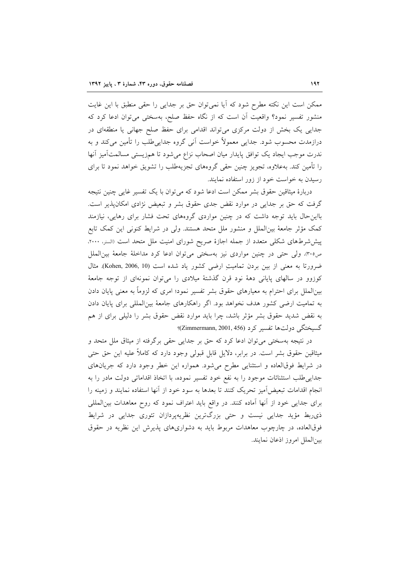ممکن است این نکته مطرح شود که آیا نمی توان حق بر جدایی را حقی منطبق با این غایت منشور تفسیر نمود؟ واقعیت آن است که از نگاه حفظ صلح، بهسختی می توان ادعا کرد که جدایی یک بخش از دولت مرکزی می تواند اقدامی برای حفظ صلح جهانی یا منطقهای در درازمدت محسوب شود. جدایی معمولاً خواست آنی گروه جدایی طلب را تأمین میکند و به ندرت موجب ايجاد يک توافق پايدار ميان اصحاب نزاع مى شود تا همزيستى مسالمتآميز آنها را تأمین کند. بهعلاوه، تجویز چنین حقی گروههای تجزیهطلب را تشویق خواهد نمود تا برای رسیدن به خواست خود از زور استفاده نمایند.

دربارهٔ میثاقین حقوق بشر ممکن است ادعا شود که میتوان با یک تفسیر غایی چنین نتیجه گرفت که حق بر جدایی در موارد نقض جدی حقوق بشر و تبعیض نژادی امکانپذیر است. بااین حال باید توجه داشت که در چنین مواردی گروههای تحت فشار برای رهایی، نیازمند كمك مؤثِّر جامعهٔ بین|لملل و منشور ملل متحد هستند. ولی در شرایط كنونی این كمک تابع پیششرطهای شکلی متعدد از جمله اجازهٔ صریح شورای امنیت ملل متحد است (السنر، ۲۰۰۰، ص٣٠٥)، ولي حتى در چنين مواردي نيز بهسختي مي توان ادعا كرد مداخلة جامعة بين الملل ضرورتا به معنى از بين بردن تماميتِ ارضى كشور ياد شده است (Kohen, 2006, 10). مثال کوزوو در سالهای پایانی دههٔ نود قرن گذشتهٔ میلادی را میتوان نمونهای از توجه جامعهٔ بینالملل برای احترام به معیارهای حقوق بشر تفسیر نمود؛ امری که لزوماً به معنی پایان دادن به تمامیت ارضی کشور هدف نخواهد بود. اگر راهکارهای جامعهٔ بینالمللی برای پایان دادن به نقض شدید حقوق بشر مؤثر باشد، چرا باید موارد نقض حقوق بشر را دلیلی برای از هم گسيختگي دولتها تفسير کرد (Zimmermann, 2001, 456)؟

در نتیجه بهسختی می توان ادعا کرد که حق بر جدایی حقی برگرفته از میثاق ملل متحد و میثاقین حقوق بشر است. در برابر، دلایل قابل قبولی وجود دارد که کاملاً علیه این حق حتی در شرایط فوقالعاده و استثنایی مطرح میشود. همواره این خطر وجود دارد که جریانهای جدایی طلب استثنائات موجود را به نفع خود تفسیر نموده، با اتخاذ اقداماتی دولت مادر را به انجام اقدامات تبعیضآمیز تحریک کنند تا بعدها به سود خود از آنها استفاده نمایند و زمینه را برای جدایی خود از آنها آماده کنند. در واقع باید اعتراف نمود که روح معاهدات بین المللی ذی ربط مؤید جدایی نیست و حتی بزرگترین نظریهپردازان تئوری جدایی در شرایط فوقالعاده، در چارچوب معاهدات مربوط باید به دشواریهای پذیرش این نظریه در حقوق بين الملل امروز اذعان نمايند.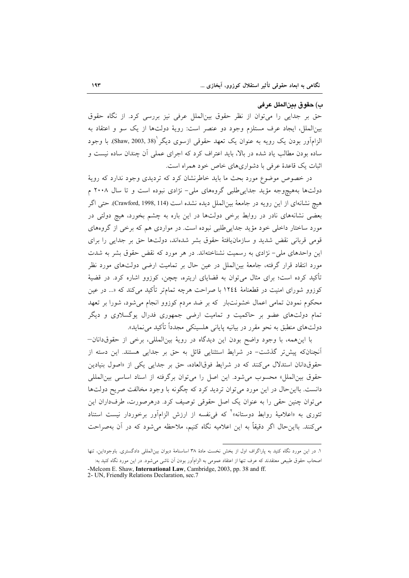#### ب) حقوق بينالملل عرفي

حق بر جدایی را میتوان از نظر حقوق بینالملل عرفی نیز بررسی کرد. از نگاه حقوق بینالملل، ایجاد عرف مستلزم وجود دو عنصر است: رویهٔ دولتها از یک سو و اعتقاد به الزامآور بودن یک رویه به عنوان یک تعهد حقوقی ازسوی دیگر (Shaw, 2003, 38). با وجود ساده بودن مطالب یاد شده در بالا، باید اعتراف کرد که اجرای عملی آن چندان ساده نیست و اثبات یک قاعدهٔ عرفی با دشواریهای خاص خود همراه است.

در خصوص موضوع مورد بحث ما باید خاطرنشان کرد که تردیدی وجود ندارد که رویهٔ دولتها بههیچوجه مؤید جداییطلبی گروههای ملی- نژادی نبوده است و تا سال ۲۰۰۸ م هيچ نشانهاي از اين رويه در جامعهٔ بينالملل ديده نشده است (Crawford, 1998, 114). حتى اگر بعضی نشانههای نادر در روابط برخی دولتها در این باره به چشم بخورد، هیچ دولتی در مورد ساختار داخلی خود مؤید جدایی طلبی نبوده است. در مواردی هم که برخی از گروههای قومی قربانی نقض شدید و سازمان یافتهٔ حقوق بشر شدهاند. دولتها حق بر جدایی را برای این واحدهای ملی– نژادی به رسمیت نشناختهاند. در هر مورد که نقض حقوق بشر به شدت مورد انتقاد قرار گرفته، جامعهٔ بین|لملل در عین حال بر تمامیت ارضی دولتهای مورد نظر تأکید کرده است؛ برای مثال میتوان به قضایای اریتره، چچن، کوزوو اشاره کرد. در قضیهٔ کوزوو شورای امنیت در قطعنامهٔ ۱۲٤٤ با صراحت هرچه تمامتر تأکید می کند که «... در عین محکوم نمودن تمامی اعمال خشونتبار که بر ضد مردم کوزوو انجام میشود، شورا بر تعهد تمام دولتهای عضو بر حاکمیت و تمامیت ارضی جمهوری فدرال پوگسلاوی و دیگر دولتهای منطبق به نحو مقرر در بیانیه پایانی هلسینکی مجدداً تأکید می نماید».

با این همه، با وجود واضح بودن این دیدگاه در رویهٔ بین المللی، برخی از حقوق دانان-آنچنانکه پیشتر گذشت- در شرایط استثنایی قائل به حق بر جدایی هستند. این دسته از حقوق دانان استدلال می کنند که در شرایط فوقالعاده، حق بر جدایی یکی از «اصول بنیادین حقوق بین الملل» محسوب می شود. این اصل را می توان برگرفته از اسناد اساسی بین المللی دانست. بااین حال در این مورد می توان تردید کرد که چگونه با وجود مخالفت صریح دولتها می توان چنین حقی را به عنوان یک اصل حقوقی توصیف کرد. درهرصورت، طرفداران این تئوری به «اعلامیهٔ روابط دوستانه»<sup>۲</sup> که فیiفسه از ارزش الزامآور برخوردار نیست استناد می کنند. بااین حال اگر دقیقاً به این اعلامیه نگاه کنیم، ملاحظه می شود که در آن بهصراحت

١. در اين مورد نگاه كنيد به پاراگراف اول از بخش نخست مادهٔ ٣٨ اساسنامهٔ ديوان بين(لمللي دادگستري. باوجوداين، تنها اصحاب حقوق طبیعی معتقدند که عرف تنها از اعتقاد عمومی به الزامآور بودن آن ناشی میشود. در این مورد نگاه کنید به:

<sup>-</sup>Melcom E. Shaw, International Law, Cambridge, 2003, pp. 38 and ff. 2- UN, Friendly Relations Declaration, sec.7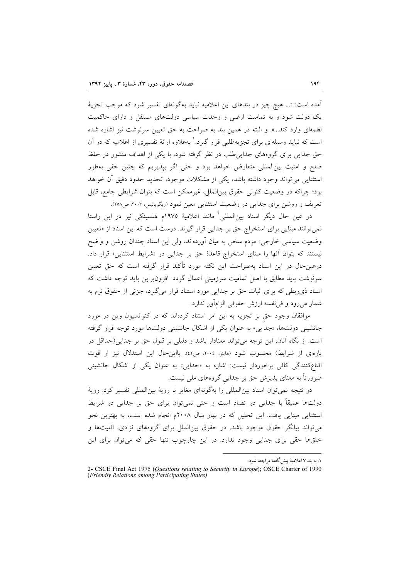آمده است: «... هیچ چیز در بندهای این اعلامیه نباید بهگونهای تفسیر شود که موجب تجزیهٔ یک دولت شود و به تمامیت ارضی و وحدت سیاسی دولتهای مستقل و دارای حاکمیت لطمهای وارد کند...». و البته در همین بند به صراحت به حق تعیین سرنوشت نیز اشاره شده است که نباید وسیلهای برای تجزیهطلبی قرار گیرد.<sup>۱</sup> بهعلاوه ارائهٔ تفسیری از اعلامیه که در آن حق جدایی برای گروههای جدایی طلب در نظر گرفته شود، با یکی از اهداف منشور در حفظ صلح و امنیت بینالمللی متعارض خواهد بود و حتی اگر بپذیریم که چنین حقی بهطور استثنایی می تواند وجود داشته باشد، یکی از مشکلات موجود، تحدید حدود دقیق آن خواهد بود؛ چراکه در وضعیت کنونی حقوق بین(لملل، غیرممکن است که بتوان شرایطی جامع، قابل تعریف و روشن برای جدایی در وضعیت استثنایی معین نمود (زیگویانیس، ۲۰۰۳، ص۲۰۸).

در عین حال دیگر اسناد بینالمللی<sup>۲</sup> مانند اعلامیهٔ ۱۹۷۵م هلسینکی نیز در این راستا نمی توانند مبنایی برای استخراج حق بر جدایی قرار گیرند. درست است که این اسناد از «تعیین وضعیت سیاسی خارجی» مردم سخن به میان اَوردهاند، ولی این اسناد چندان روشن و واضح نیستند که بتوان آنها را مبنای استخراج قاعدهٔ حق بر جدایی در «شرایط استثنایی» قرار داد. درعینحال در این اسناد بهصراحت این نکته مورد تأکید قرار گرفته است که حق تعیین سرنوشت باید مطابق با اصل تمامیت سرزمینی اعمال گردد. افزون براین باید توجه داشت که اسناد ذی ربطی که برای اثبات حق بر جدایی مورد استناد قرار میگیرد، جزئی از حقوق نرم به شمار میرود و فی نفسه ارزش حقوقی الزامآور ندارد.

موافقان وجود حق بر تجزیه به این امر استناد کردهاند که در کنوانسیون وین در مورد جانشینی دولتها، «جدایی» به عنوان یکی از اشکال جانشینی دولتها مورد توجه قرار گرفته است. از نگاه آنان، این توجه می تواند معنادار باشد و دلیلی بر قبول حق بر جدایی(حداقل در يارهاي از شرايط) محسوب شود (هاينز، ٢٠٠٤، ص٤٢). بااين حال اين استدلال نيز از قوت اقناع کنندگی کافی برخوردار نیست: اشاره به «جدایی» به عنوان یکی از اشکال جانشینی ضرورتاً به معنای پذیرش حق بر جدایی گروههای ملی نیست.

در نتيجه نمي توان اسناد بين|لمللي را بهگونهاي مغاير با رويهٔ بين|لمللي تفسير كرد. رويهٔ دولتها عمیقاً با جدایی در تضاد است و حتی نمی توان برای حق بر جدایی در شرایط استثنایی مبنایی یافت. این تحلیل که در بهار سال ۲۰۰۸م انجام شده است، به بهترین نحو می تواند بیانگر حقوق موجود باشد. در حقوق بین|لملل برای گروههای نژادی، اقلیتها و خلقها حقی برای جدایی وجود ندارد. در این چارچوب تنها حقی که می توان برای این

١. به بند ٧ اعلاميهٔ پيش گفته مراجعه شود.

<sup>2-</sup> CSCE Final Act 1975 (Questions relating to Security in Europe); OSCE Charter of 1990 (Friendly Relations among Participating States)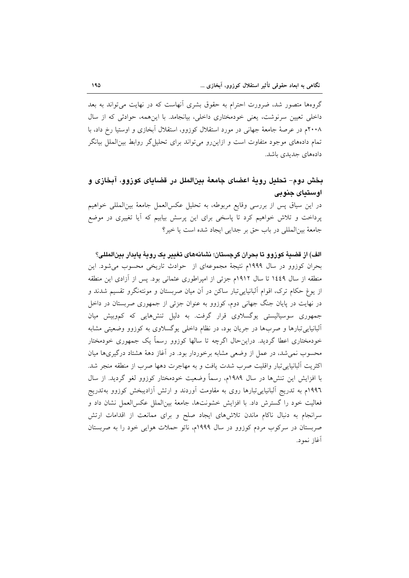گروهها متصور شد، ضرورت احترام به حقوق بشری آنهاست که در نهایت می تواند به بعد داخلی تعیین سرنوشت، یعنی خودمختاری داخلی، بیانجامد. با این همه، حوادثی که از سال ۲۰۰۸م در عرصهٔ جامعهٔ جهانی در مورد استقلال کوزوو، استقلال اَبخازی و اوستیا رخ داد، با تمام دادههای موجود متفاوت است و ازاین رو می تواند برای تحلیل گر روابط بین|لملل بیانگر دادەھاي جديدي باشد.

## بخش دوم- تحليل رويهٔ اعضاي جامعهٔ بينالملل در قضاياي كوزوو، آبخازي و اوستياي جنوبي

در این سیاق پس از بررسی وقایع مربوطه، به تحلیل عکسالعمل جامعهٔ بینالمللی خواهیم پرداخت و تلاش خواهیم کرد تا پاسخی برای این پرسش بیابیم که اَیا تغییری در موضع جامعهٔ بینالمللی در باب حق بر جدایی ایجاد شده است یا خیر؟

الف) از قضيهٔ کوزوو تا بحران گرچستان؛ نشانههای تغییر یک رویهٔ پایدار پین المللی؟ بحران کوزوو در سال ۱۹۹۹م نتیجهٔ مجموعهای از حوادث تاریخی محسوب می شود. این منطقه از سال ۱٤٤٩ تا سال ۱۹۱۲م جزئی از امپراطوری عثمانی بود. پس از آزادی این منطقه از پوغ حکام ترک، اقوام آلبانیایی تبار ساکن در آن میان صربستان و مونتهنگرو تقسیم شدند و در نهایت در پایان جنگ جهانی دوم، کوزوو به عنوان جزئی از جمهوری صربستان در داخل جمهوری سوسیالیستی یوگسلاوی قرار گرفت. به دلیل تنشهایی که کموبیش میان آلبانیایی تبارها و صربها در جریان بود، در نظام داخلی بوگسلاوی به کوزوو وضعیتی مشابه خودمختاری اعطا گردید. دراینحال اگرچه تا سالها کوزوو رسماً یک جمهوری خودمختار محسوب نمی شد، در عمل از وضعی مشابه برخوردار بود. در آغاز دههٔ هشتاد درگیریها میان اكثريت آلبانيايي تبار واقليت صرب شدت يافت و به مهاجرت دهها صرب از منطقه منجر شد. با افزایش این تنشها در سال ۱۹۸۹م، رسماً وضعیت خودمختار کوزوو لغو گردید. از سال ۱۹۹٦م به تدریج آلبانیایی تبارها روی به مقاومت آوردند و ارتش آزادیبخش کوزوو بهتدریج فعالیت خود را گسترش داد. با افزایش خشونتها، جامعهٔ بین|لملل عکس|لعمل نشان داد و سرانجام به دنبال ناکام ماندن تلاشهای ایجاد صلح و برای ممانعت از اقدامات ارتش صربستان در سرکوب مردم کوزوو در سال ۱۹۹۹م، ناتو حملات هوایی خود را به صربستان آغاز نمود.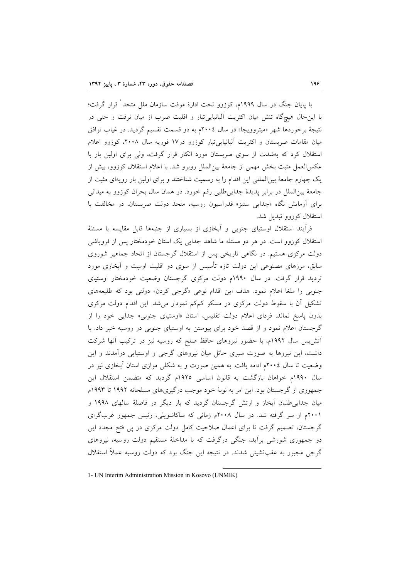با پایان جنگ در سال ۱۹۹۹م، کوزوو تحت ادارهٔ موقت سازمان ملل متحد<sup>ا</sup> قرار گرفت؛ با این حال هیچگاه تنش میان اکثریت آلبانیایی تبار و اقلیت صرب از میان نرفت و حتی در نتيجهٔ برخوردها شهر «ميتروويچا» در سال ٢٠٠٤م به دو قسمت تقسيم گرديد. در غياب توافق میان مقامات صربستان و اکثریت آلبانیایی تبار کوزوو در۱۷ فوریه سال ۲۰۰۸، کوزوو اعلام استقلال کرد که بهشدت از سوی صربستان مورد انکار قرار گرفت، ولی برای اولین بار با عکسالعمل مثبت بخش مهمی از جامعهٔ بینالملل روبرو شد. با اعلام استقلال کوزوو، بیش از یک چهارم جامعهٔ بینالمللی این اقدام را به رسمیت شناختند و برای اولین بار رویهای مثبت از جامعهٔ بینالملل در برابر پدیدهٔ جدایی طلبی رقم خورد. در همان سال بحران کوزوو به میدانی برای آزمایش نگاه «جدایی ستیز» فدراسیون روسیه، متحد دولت صربستان، در مخالفت با استقلال كوزوو تبديل شد.

فرآیند استقلال اوستیای جنوبی و آبخازی از بسیاری از جنبهها قابل مقایسه با مسئلهٔ استقلال کوزوو است. در هر دو مسئله ما شاهد جدایی یک استان خودمختار پس از فروپاشی دولت مرکزی هستیم. در نگاهی تاریخی پس از استقلال گرجستان از اتحاد جماهیر شوروی سابق، مرزهای مصنوعی این دولت تازه تأسیس از سوی دو اقلیت اوسِت و آبخازی مورد تردید قرار گرفت. در سال ۱۹۹۰م دولت مرکزی گرجستان وضعیت خودمختار اوستیای جنوبی را ملغا اعلام نمود. هدف این اقدام نوعی «گرجی کردن» دولتی بود که طلیعههای تشکیل آن با سقوط دولت مرکزی در مسکو کمکم نمودار می شد. این اقدام دولت مرکزی بدون پاسخ نماند. فردای اعلام دولت تفلیس، استان «اوستیای جنوبی» جدایی خود را از گرجستان اعلام نمود و از قصد خود برای پیوستن به اوستیای جنوبی در روسیه خبر داد. با اتش بس سال ۱۹۹۲م، با حضور نیروهای حافظ صلح که روسیه نیز در ترکیب آنها شرکت داشت، این نیروها به صورت سیری حائل میان نیروهای گرجی و اوستیایی درآمدند و این وضعیت تا سال ۲۰۰٤م ادامه یافت. به همین صورت و به شکلی موازی استان آبخازی نیز در سال ۱۹۹۰م خواهان بازگشت به قانون اساسی ۱۹۲۵م گردید که متضمن استقلال این جمهوری از گرجستان بود. این امر به نوبهٔ خود موجب درگیریهای مسلحانه ۱۹۹۲ تا ۱۹۹۳م میان جدایے طلبان آبخاز و ارتش گرجستان گردید که بار دیگر در فاصلهٔ سالهای ۱۹۹۸ و ۲۰۰۱م از سر گرفته شد. در سال ۲۰۰۸م زمانی که ساکاشویلی، رئیس جمهور غربگرای گرجستان، تصمیم گرفت تا برای اعمال صلاحیت کامل دولت مرکزی در پی فتح مجدد این دو جمهوری شورشی برآید، جنگی درگرفت که با مداخلهٔ مستقیم دولت روسیه، نیروهای گرجی مجبور به عقب:شینی شدند. در نتیجه این جنگ بود که دولت روسیه عملاً استقلال

<sup>1-</sup> UN Interim Administration Mission in Kosovo (UNMIK)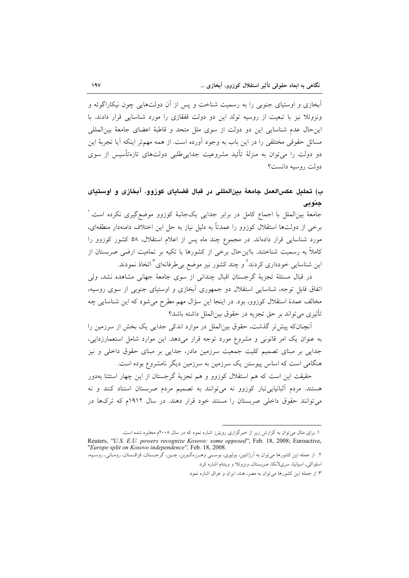اّبخازی و اوستیای جنوبی را به رسمیت شناخت و پس از اَن دولتهایی چون نیکاراگوئه و ونزوئلا نیز با تبعیت از روسیه تولد این دو دولت قفقازی را مورد شناسایی قرار دادند. با این حال عدم شناسایی این دو دولت از سوی ملل متحد و قاطبهٔ اعضای جامعهٔ بینالمللی مسائل حقوقی مختلفی را در این باب به وجود آورده است. از همه مهمتر اینکه آیا تجربهٔ این دو دولت را می توان به منزلهٔ تأئید مشروعیت جدایی طلبی دولتهای تازهتأسیس از سوی دولت روسيه دانست؟

### ب) تحليل عكسالعمل جامعهٔ بينالمللي در قبال قضاياي كوزوو، آبخازي و اوستياي جنوبي

جامعهٔ بین|لملل با اجماع کامل در برابر جدایی یکجانبهٔ کوزوو موضع گیری نکرده است. ٰ برخی از دولتها استقلال کوزوو را عمدتاً به دلیل نیاز به حل این اختلاف دامنهدار منطقهای، مورد شناسایی قرار دادهاند. در مجموع چند ماه پس از اعلام استقلال، ۵۸ کشور کوزوو را کاملاً به رسمیت شناختند. بااین حال برخی از کشورها با تکیه بر تمامیت ارضی صربستان از این شناسایی خودداری کردند<sup>۲</sup> و چند کشور نیز موضع بی *طر*فانهای <sup>۳</sup> اتخاذ نمودند.

در قبال مسئلة تجزية گرجستان اقبال چندانی از سوی جامعهٔ جهانی مشاهده نشد، ولی اتفاق قابل توجه، شناسایی استقلال دو جمهوری آبخازی و اوستیای جنوبی از سوی روسیه، مخالف عمدهٔ استقلال کوزوو، بود. در اینجا این سؤال مهم مطرح میشود که این شناسایی چه تأثيري مي تواند بر حق تجزيه در حقوق بين|لملل داشته باشد؟

آنچنانکه پیش تر گذشت، حقوق بین|لملل در موارد اندکی جدایی یک بخش از سرزمین را به عنوان یک امر قانونی و مشروع مورد توجه قرار میدهد. این موارد شامل استعمارزدایی، جدایی بر مبنای تصمیم کلیت جمعیت سرزمین مادر، جدایی بر مبنای حقوق داخلی و نیز هنگامی است که اساس پیوستن یک سرزمین به سرزمین دیگر نامشروع بوده است.

حقیقت این است که هم استقلال کوزوو و هم تجزیهٔ گرجستان از این چهار استثنا بهدور هستند. مردم آلبانیاییتبار کوزوو نه میتوانند به تصمیم مردم صربستان استناد کنند و نه می توانند حقوق داخلی صربستان را مستند خود قرار دهند. در سال ۱۹۱۲م که ترکها در

١. برای مثال می توان به گزارش زیر از خبرگزاری رویترز اشاره نمود که در سال ٢٠٠٨م مخابره شده است.

اسلواکي، اسپانيا، سريلانکا، صربستان، ونزوئلا و ويتنام اشاره کرد.

Reuters, "U.S. E.U. powers recognize Kosovo: some opposed", Feb. 18, 2008; Euroactive, "Europe split on Kosovo independence", Feb. 18, 2008. ۲. از جمله این کشورها می توان به آرژانتین، بولیوی، بوسـنی وهـرزهگـوین، چـین، گرجـستان، قزاقـستان، رومـانی، روسـیه،

٣. از جمله اين كشورها مى توان به مصر، هند، ايران و عراق اشاره نمود.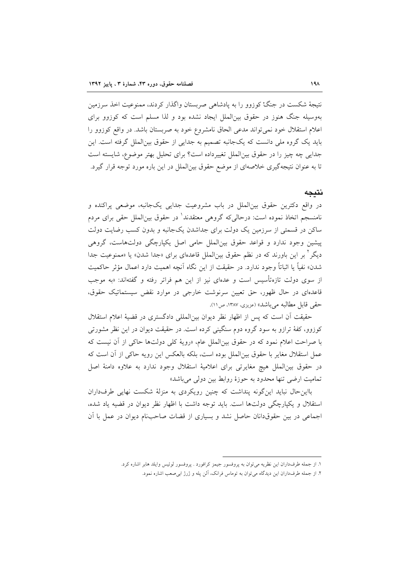نتیجهٔ شکست در جنگْ کوزوو را به پادشاهی صربستان واگذار کردند، ممنوعیت اخذ سرزمین بهوسیله جنگ هنوز در حقوق بین(لملل ایجاد نشده بود و لذا مسلم است که کوزوو برای اعلام استقلال خود نمیٍتواند مدعی الحاق نامشروع خود به صربستان باشد. در واقع کوزوو را باید یک گروه ملی دانست که یکجانبه تصمیم به جدایی از حقوق بین الملل گرفته است. این جدایی چه چیز را در حقوق بین الملل تغییرداده است؟ برای تحلیل بهتر موضوع، شایسته است تا به عنوان نتیجهگیری خلاصهای از موضع حقوق بینالملل در این باره مورد توجه قرار گیرد.

#### نتىحە

در واقع دکترین حقوق بین|لملل در باب مشروعیت جدایی یکجانبه، موضعی پراکنده و نامنسجم اتخاذ نموده است: درحالی۵که گروهی معتقدند' در حقوق بین|لملل حقی برای مردم ساکن در قسمتی از سرزمین یک دولت برای جداشدن یکجانبه و بدون کسب رضایت دولت پیشین وجود ندارد و قواعد حقوق بین الملل حامی اصل یکپارچگی دولتهاست، گروهی دیگر <sup>آ</sup> بر این باورند که در نظم حقوق بین|لملل قاعدهای برای «جدا شدن» یا «ممنوعیت جدا شدن» نفياً يا اثباتاً وجود ندارد. در حقيقت از اين نگاه آنچه اهميت دارد اعمال مؤثر حاكميت از سوی دولت تازهتأسیس است و عدهای نیز از این هم فراتر رفته و گفتهاند: «به موجب قاعدهای در حال ظهور، حق تعیین سرنوشت خارجی در موارد نقض سیستماتیک حقوق، حقی قابل مطالبه می باشد» (عزیزی، ۱۳۸۷، ص ۱۱).

حقیقت آن است که پس از اظهار نظر دیوان بین المللی دادگستری در قضیهٔ اعلام استقلال کوزوو، کفهٔ ترازو به سود گروه دوم سنگینی کرده است. در حقیقت دیوان در این نظر مشورتی با صراحت اعلام نمود كه در حقوق بين الملل عام، «روية كلي دولتها حاكي از آن نيست كه عمل استقلال مغایر با حقوق بین الملل بوده است، بلکه بالعکس این رویه حاکی از آن است که در حقوق بين|لملل هيچ مغايرتي براي اعلاميهٔ استقلال وجود ندارد به علاوه دامنهٔ اصل تمامیت ارضی تنها محدود به حوزهٔ روابط بین دولی می باشد»

بااین حال نباید این گونه پنداشت که چنین رویکردی به منزلهٔ شکست نهایی طرفداران استقلال و یکپارچگی دولتها است. باید توجه داشت با اظهار نظر دیوان در قضیه یاد شده، اجماعی در بین حقوقدانان حاصل نشد و بسیاری از قضات صاحبنام دیوان در عمل با اَن

١. از جمله طرفداران اين نظريه مي توان به پروفسور جيمز كرافورد . پروفسور لوئيس وايلد هابر اشاره كرد.

۲. از جمله طرفداران این دیدگاه می توان به توماس فرانک، آلن پله و ژرژ ابیصعب اشاره نمود.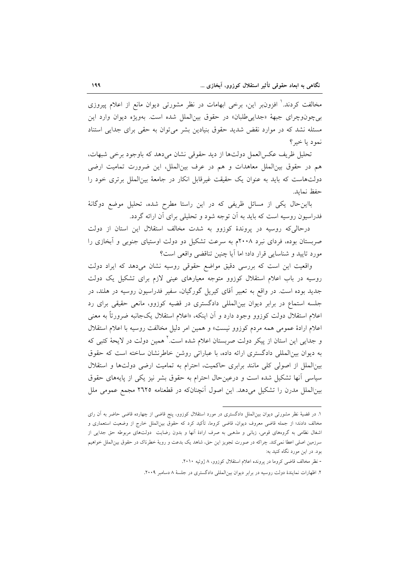مخالفت کردند. ٰ افزون بر این، برخی ابهامات در نظر مشورتی دیوان مانع از اعلام پیروزی بي چون وچراي جبههٔ «جدايي طلبان» در حقوق بين الملل شده است. بهويژه ديوان وارد اين مسئله نشد که در موارد نقض شدید حقوق بنیادین بشر میتوان به حقی برای جدایی استناد نمود يا خير؟

تحليل ظريف عكسالعمل دولتها از ديد حقوقي نشان مي دهد كه باوجود برخي شبهات، هم در حقوق بینالملل معاهدات و هم در عرف بینالملل، این ضرورت تمامیت ارضی دولتهاست که باید به عنوان یک حقیقت غیرقابل انکار در جامعهٔ بین الملل برتری خود را حفظ نمايد.

بااین حال یکی از مسائل ظریفی که در این راستا مطرح شده، تحلیل موضع دوگانهٔ فدراسیون روسیه است که باید به آن توجه شود و تحلیلی برای آن ارائه گردد.

درحالی که روسیه در پروندهٔ کوزوو به شدت مخالف استقلال این استان از دولت صربستان بوده، فردای نبرد ۲۰۰۸م به سرعت تشکیل دو دولت اوستیای جنوبی و آبخازی را مورد تایید و شناسایی قرار داد؛ اما آیا چنین تناقضی واقعی است؟

واقعیت این است که بررسی دقیق مواضع حقوقی روسیه نشان میدهد که ایراد دولت روسیه در باب اعلام استقلال کوزوو متوجه معیارهای عینی لازم برای تشکیل یک دولت جدید بوده است. در واقع به تعبیر آقای کیریل گورگیان، سفیر فدراسیون روسیه در هلند، در جلسه استماع در برابر دیوان بینالمللی دادگستری در قضیه کوزوو، مانعی حقیقی برای رد اعلام استقلال دولت کوزوو وجود دارد و اَن اینکه، «اعلام استقلال یکجانبه ضرورتاً به معنی اعلام ارادهٔ عمومی همه مردم کوزوو نیست» و همین امر دلیل مخالفت روسیه با اعلام استقلال و جدایی این استان از پیکر دولت صربستان اعلام شده است. ٔ همین دولت در لایحهٔ کتبی که به دیوان بین المللی دادگستری ارائه داده، با عباراتی روشن خاطرنشان ساخته است که حقوق بین الملل از اصولی کلی مانند برابری حاکمیت، احترام به تمامیت ارضی دولتها و استقلال سیاسی آنها تشکیل شده است و درعینحال احترام به حقوق بشر نیز یکی از پایههای حقوق بینالملل مدرن را تشکیل میدهد. این اصول آنچنانکه در قطعنامه ۲۹۲۵ مجمع عمومی ملل

١. در قضیهٔ نظر مشورتی دیوان بین|لملل دادگستری در مورد استقلال کوزوو، پنج قاضی از چهارده قاضی حاضر به آن رای مخالف دادند؛ از جمله قاضی معروف دیوان، قاضی کروما، تأکید کرد که حقوق بین|لملل خارج از وضعیت استعماری و اشغال نظامی به گروههای قومی، زبانی و مذهبی به صرف ارادهٔ آنها و بدون رضایت دولتهای مربوطه حق جدایی از سرزمین اصلی اعطا نمیکند. چراکه در صورت تجویز این حق، شاهد یک بدعت و رویهٔ خطرناک در حقوق بین|لملل خواهیم بود. در این مورد نگاه کنید به:

<sup>-</sup> نظر مخالف قاضی کروما در پرونده اعلام استقلال کوزوو، ۸ ژوئیه ۲۰۱۰.

۲. اظهارات نمایندهٔ دولت روسیه در برابر دیوان بین المللی دادگستری در جلسهٔ ۸ دسامبر ۲۰۰۹.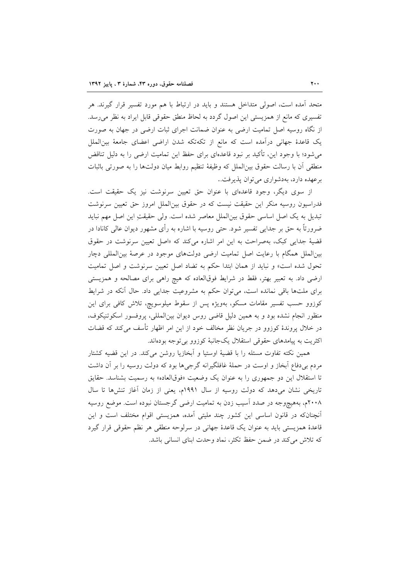متحد آمده است، اصولی متداخل هستند و باید در ارتباط با هم مورد تفسیر قرار گیرند. هر تفسیری که مانع از همزیستی این اصول گردد به لحاظ منطق حقوقی قابل ایراد به نظر می رسد. از نگاه روسیه اصل تمامیت ارضی به عنوان ضمانت اجرای ثبات ارضی در جهان به صورت یک قاعدهٔ جهانی درآمده است که مانع از تکهتکه شدن اراضی اعضای جامعهٔ بین|لملل می,شود؛ با وجود این، تأکید بر نبود قاعدهای برای حفظ این تمامیت ارضی را به دلیل تناقض منطقی آن با رسالت حقوق بین|لملل که وظیفهٔ تنظیم روابط میان دولتها را به صورتی باثبات برعهده دارد، بهدشواری می توان پذیرفت..

از سوی دیگر، وجود قاعدهای با عنوان حق تعیین سرنوشت نیز یک حقیقت است. فدراسیون روسیه منکر این حقیقت نیست که در حقوق بینالملل امروز حق تعیین سرنوشت تبدیل به یک اصل اساسی حقوق بین|لملل معاصر شده است. ولی حقیقتِ این اصل مهم نباید ضرورتاً به حق بر جدایی تفسیر شود. حتی روسیه با اشاره به رأی مشهور دیوان عالی کانادا در قضیهٔ جدایی کبک، بهصراحت به این امر اشاره میکند که «اصل تعیین سرنوشت در حقوق بینالملل همگام با رعایت اصل تمامیت ارضی دولتهای موجود در عرصهٔ بینالمللی دچار تحول شده است» و نباید از همان ابتدا حکم به تضاد اصل تعیین سرنوشت و اصل تمامیت ارضی داد. به تعبیر بهتر، فقط در شرایط فوقالعاده که هیچ راهی برای مصالحه و همزیستی برای ملتها باقی نمانده است، می توان حکم به مشروعیت جدایی داد. حال آنکه در شرایط کوزوو حسب تفسیر مقامات مسکو، بهویژه پس از سقوط میلوسویچ، تلاش کافی برای این منظور انجام نشده بود و به همین دلیل قاضی روس دیوان بینالمللی، پروفسور اسکوتنیکوف، در خلال پروندهٔ کوزوو در جریان نظر مخالف خود از این امر اظهار تأسف می کند که قضات اکثریت به پیامدهای حقوقی استقلال یکجانبهٔ کوزوو بیتوجه بودهاند.

همین نکته تفاوت مسئله را با قضیهٔ اوستیا و آبخازیا روشن می کند. در این قضیه کشتار مردم بی دفاع آبخاز و اوست در حملهٔ غافلگیرانه گرجیها بود که دولت روسیه را بر آن داشت تا استقلال این دو جمهوری را به عنوان یک وضعیت «فوقالعاده» به رسمیت بشناسد. حقایق تاریخی نشان میدهد که دولت روسیه از سال ۱۹۹۱م، یعنی از زمان آغاز تنشرها تا سال ۲۰۰۸م، بههیچوجه در صدد آسیب زدن به تمامیت ارضی گرجستان نبوده است. موضع روسیه آنچنانکه در قانون اساسی این کشور چند ملیتی آمده، همزیستی اقوام مختلف است و این قاعدهٔ همزیستی باید به عنوان یک قاعدهٔ جهانی در سرلوحه منطقی هر نظم حقوقی قرار گیرد كه تلاش مى كند در ضمن حفظ تكثر، نماد وحدت ابناى انسانى باشد.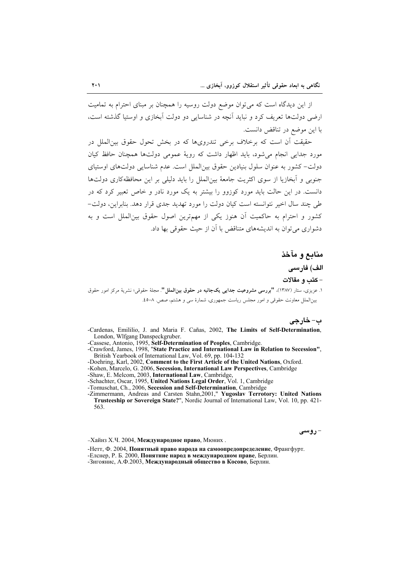از این دیدگاه است که می توان موضع دولت روسیه را همچنان بر مبنای احترام به تمامیت ارضی دولتها تعریف کرد و نباید آنچه در شناسایی دو دولت آبخازی و اوستیا گذشته است، با این موضع در تناقض دانست.

 $\mathbf{Y} \cdot \mathbf{V}$ 

حقیقت آن است که برخلاف برخی تندرویها که در بخش تحول حقوق بین|لملل در مورد جدایے انجام می شود، باید اظهار داشت که رویهٔ عمومی دولتها همچنان حافظ کیان دولت– كشور به عنوان سلول بنيادين حقوق بين|لملل است. عدم شناسايي دولتهاي اوستياي جنوبی و آبخازیا از سوی اکثریت جامعهٔ بین(لملل را باید دلیلی بر این محافظهکاری دولتها دانست. در این حالت باید مورد کوزوو را بیشتر به یک مورد نادر و خاص تعبیر کرد که در طی چند سال اخیر نتوانسته است کیان دولت را مورد تهدید جدی قرار دهد. بنابراین، دولت-کشور و احترام به حاکمیت آن هنوز یکی از مهمترین اصول حقوق بینالملل است و به دشواری می توان به اندیشههای متناقض با آن از حیث حقوقی بها داد.

منابع و مآخذ الف) فارسى - كتب و مقالات ۱. عزیزی، ستار (۱۳۸۷)، **"بررسی مشروعیت جدایی یکجانبه در حقوق بینالملل"**. مجلهٔ حقوقی؛ نشریهٔ مرکز امور حقوق بین الملل معاونت حقوقی و امور مجلس ریاست جمهوری، شمارهٔ سی و هشتم، صص. ٨-٤٥.

ب- خارجي -Cardenas. Emililio. J. and Maria F. Cañas. 2002. The Limits of Self-Determination. London, Wlfgang Danspeckgruber.

- -Cassese, Antonio, 1995, Self-Determination of Peoples, Cambridge.<br>-Cassese, Antonio, 1995, Self-Determination of Peoples, Cambridge.<br>-Crawford, James, 1998, "State Practice and International Law in Relation to Secession", British Yearbook of International Law, Vol. 69, pp. 104-132
- -Doehring, Karl, 2002, Comment to the First Article of the United Nations, Oxford.
- -Kohen, Marcelo, G. 2006, Secession, International Law Perspectives, Cambridge
- -Shaw, E. Melcom, 2003, International Law, Cambridge,
- -Schachter, Oscar, 1995, United Nations Legal Order, Vol. 1, Cambridge
- -Tomuschat, Ch., 2006, Secession and Self-Determination, Cambridge

-Zimmermann, Andreas and Carsten Stahn, 2001," Yugoslav Terrotory: United Nations<br>Trusteeship or Sovereign State?", Nordic Journal of International Law, Vol. 10, pp. 421-563

-Хайнз Х.Ч. 2004, Международное право, Мюних.

- روسی

-Нетт, Ф. 2004, Понятный право народа на самоопредопределение, Франгфурт. -Елснер, Р. Б. 2000, Понятние народ в международном праве, Берлин. -Зигоянис, А.Ф.2003, Международный общество в Косово, Берлин.